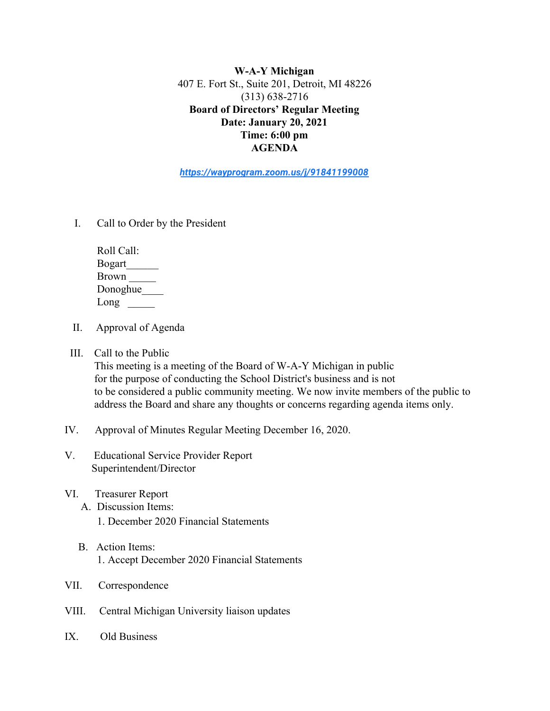**W-A-Y Michigan** 407 E. Fort St., Suite 201, Detroit, MI 48226 (313) 638-2716 **Board of Directors' Regular Meeting Date: January 20, 2021 Time: 6:00 pm AGENDA**

*<https://wayprogram.zoom.us/j/91841199008>*

I. Call to Order by the President

 Roll Call: Bogart\_\_\_\_\_\_ Brown \_\_\_\_\_ Donoghue\_\_\_\_ Long

- II. Approval of Agenda
- III. Call to the Public

 This meeting is a meeting of the Board of W-A-Y Michigan in public for the purpose of conducting the School District's business and is not to be considered a public community meeting. We now invite members of the public to address the Board and share any thoughts or concerns regarding agenda items only.

- IV. Approval of Minutes Regular Meeting December 16, 2020.
- V. Educational Service Provider Report Superintendent/Director
- VI. Treasurer Report
	- A. Discussion Items:
		- 1. December 2020 Financial Statements
	- B. Action Items: 1. Accept December 2020 Financial Statements
- VII. Correspondence
- VIII. Central Michigan University liaison updates
- IX. Old Business